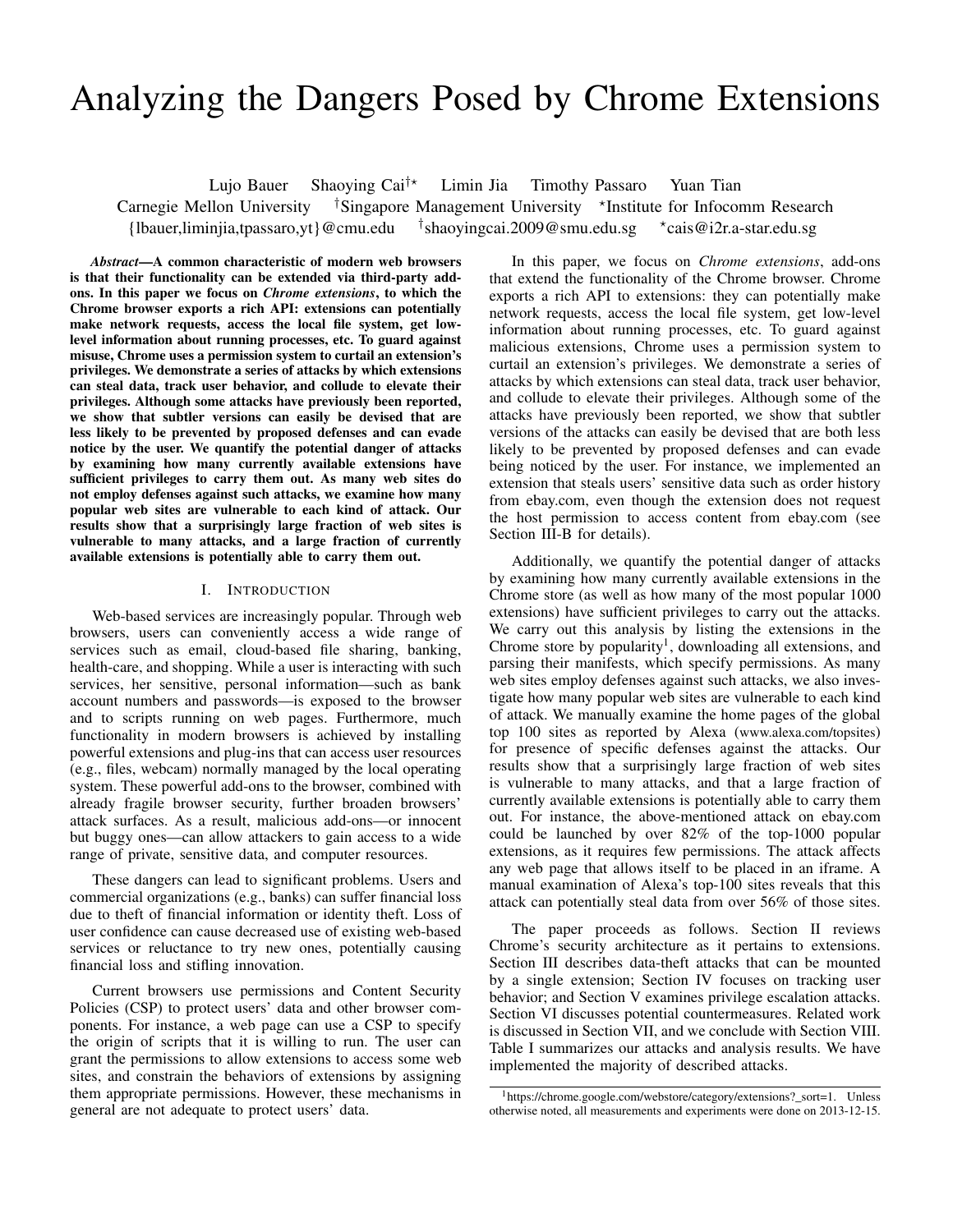# Analyzing the Dangers Posed by Chrome Extensions

Lujo Bauer Shaoying Cai†? Limin Jia Timothy Passaro Yuan Tian Carnegie Mellon University <sup>†</sup>Singapore Management University \*Institute for Infocomm Research {lbauer,liminjia,tpassaro,yt}@cmu.edu † <sup> $\dagger$ </sup>shaoyingcai.2009@smu.edu.sg  $\star$ cais@i2r.a-star.edu.sg

*Abstract*—A common characteristic of modern web browsers is that their functionality can be extended via third-party addons. In this paper we focus on *Chrome extensions*, to which the Chrome browser exports a rich API: extensions can potentially make network requests, access the local file system, get lowlevel information about running processes, etc. To guard against misuse, Chrome uses a permission system to curtail an extension's privileges. We demonstrate a series of attacks by which extensions can steal data, track user behavior, and collude to elevate their privileges. Although some attacks have previously been reported, we show that subtler versions can easily be devised that are less likely to be prevented by proposed defenses and can evade notice by the user. We quantify the potential danger of attacks by examining how many currently available extensions have sufficient privileges to carry them out. As many web sites do not employ defenses against such attacks, we examine how many popular web sites are vulnerable to each kind of attack. Our results show that a surprisingly large fraction of web sites is vulnerable to many attacks, and a large fraction of currently available extensions is potentially able to carry them out.

#### I. INTRODUCTION

Web-based services are increasingly popular. Through web browsers, users can conveniently access a wide range of services such as email, cloud-based file sharing, banking, health-care, and shopping. While a user is interacting with such services, her sensitive, personal information—such as bank account numbers and passwords—is exposed to the browser and to scripts running on web pages. Furthermore, much functionality in modern browsers is achieved by installing powerful extensions and plug-ins that can access user resources (e.g., files, webcam) normally managed by the local operating system. These powerful add-ons to the browser, combined with already fragile browser security, further broaden browsers' attack surfaces. As a result, malicious add-ons—or innocent but buggy ones—can allow attackers to gain access to a wide range of private, sensitive data, and computer resources.

These dangers can lead to significant problems. Users and commercial organizations (e.g., banks) can suffer financial loss due to theft of financial information or identity theft. Loss of user confidence can cause decreased use of existing web-based services or reluctance to try new ones, potentially causing financial loss and stifling innovation.

Current browsers use permissions and Content Security Policies (CSP) to protect users' data and other browser components. For instance, a web page can use a CSP to specify the origin of scripts that it is willing to run. The user can grant the permissions to allow extensions to access some web sites, and constrain the behaviors of extensions by assigning them appropriate permissions. However, these mechanisms in general are not adequate to protect users' data.

In this paper, we focus on *Chrome extensions*, add-ons that extend the functionality of the Chrome browser. Chrome exports a rich API to extensions: they can potentially make network requests, access the local file system, get low-level information about running processes, etc. To guard against malicious extensions, Chrome uses a permission system to curtail an extension's privileges. We demonstrate a series of attacks by which extensions can steal data, track user behavior, and collude to elevate their privileges. Although some of the attacks have previously been reported, we show that subtler versions of the attacks can easily be devised that are both less likely to be prevented by proposed defenses and can evade being noticed by the user. For instance, we implemented an extension that steals users' sensitive data such as order history from ebay.com, even though the extension does not request the host permission to access content from ebay.com (see Section III-B for details).

Additionally, we quantify the potential danger of attacks by examining how many currently available extensions in the Chrome store (as well as how many of the most popular 1000 extensions) have sufficient privileges to carry out the attacks. We carry out this analysis by listing the extensions in the Chrome store by popularity<sup>1</sup>, downloading all extensions, and parsing their manifests, which specify permissions. As many web sites employ defenses against such attacks, we also investigate how many popular web sites are vulnerable to each kind of attack. We manually examine the home pages of the global top 100 sites as reported by Alexa (www.alexa.com/topsites) for presence of specific defenses against the attacks. Our results show that a surprisingly large fraction of web sites is vulnerable to many attacks, and that a large fraction of currently available extensions is potentially able to carry them out. For instance, the above-mentioned attack on ebay.com could be launched by over 82% of the top-1000 popular extensions, as it requires few permissions. The attack affects any web page that allows itself to be placed in an iframe. A manual examination of Alexa's top-100 sites reveals that this attack can potentially steal data from over 56% of those sites.

The paper proceeds as follows. Section II reviews Chrome's security architecture as it pertains to extensions. Section III describes data-theft attacks that can be mounted by a single extension; Section IV focuses on tracking user behavior; and Section V examines privilege escalation attacks. Section VI discusses potential countermeasures. Related work is discussed in Section VII, and we conclude with Section VIII. Table I summarizes our attacks and analysis results. We have implemented the majority of described attacks.

<sup>1</sup>https://chrome.google.com/webstore/category/extensions?\_sort=1. Unless otherwise noted, all measurements and experiments were done on 2013-12-15.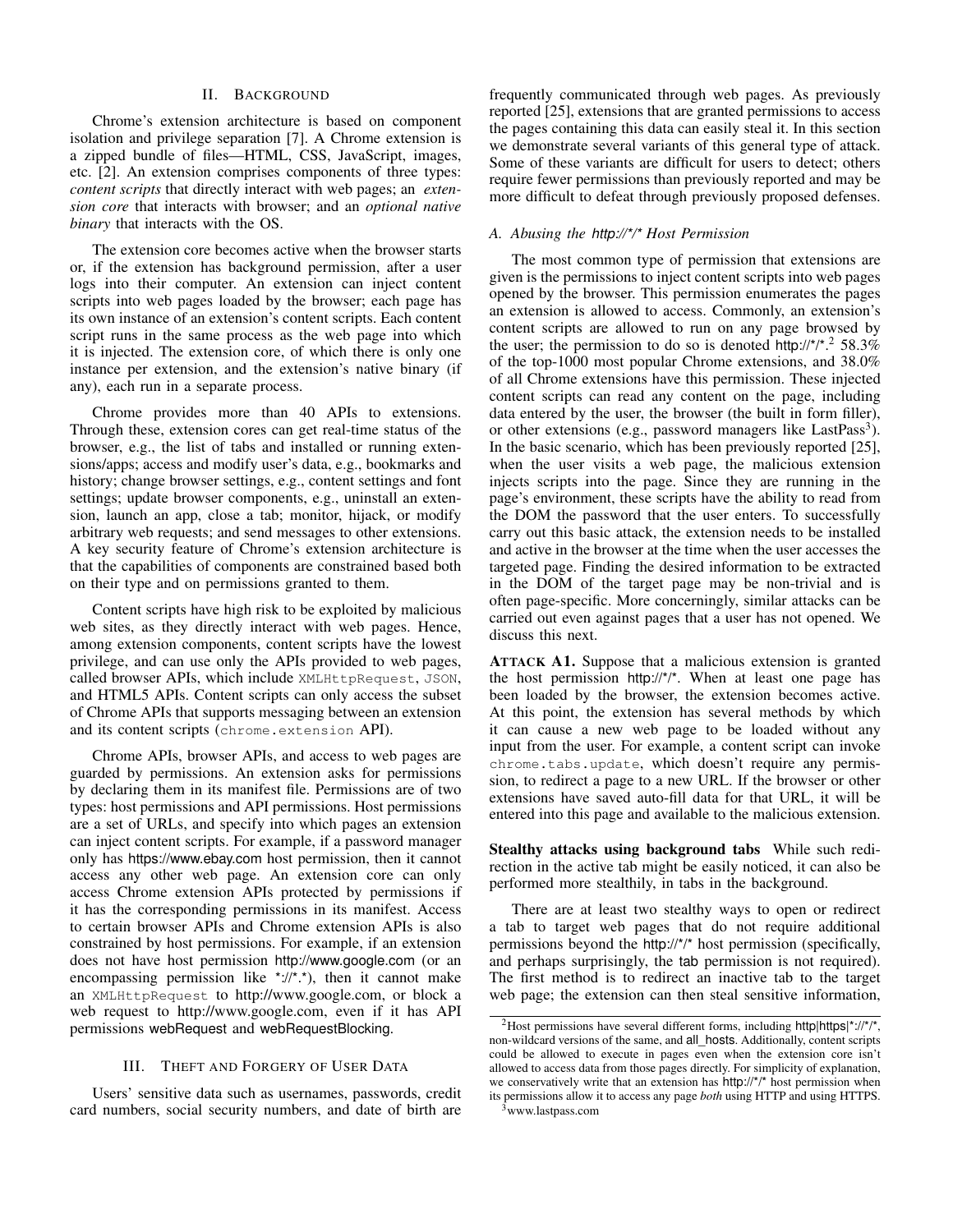# II. BACKGROUND

Chrome's extension architecture is based on component isolation and privilege separation [7]. A Chrome extension is a zipped bundle of files—HTML, CSS, JavaScript, images, etc. [2]. An extension comprises components of three types: *content scripts* that directly interact with web pages; an *extension core* that interacts with browser; and an *optional native binary* that interacts with the OS.

The extension core becomes active when the browser starts or, if the extension has background permission, after a user logs into their computer. An extension can inject content scripts into web pages loaded by the browser; each page has its own instance of an extension's content scripts. Each content script runs in the same process as the web page into which it is injected. The extension core, of which there is only one instance per extension, and the extension's native binary (if any), each run in a separate process.

Chrome provides more than 40 APIs to extensions. Through these, extension cores can get real-time status of the browser, e.g., the list of tabs and installed or running extensions/apps; access and modify user's data, e.g., bookmarks and history; change browser settings, e.g., content settings and font settings; update browser components, e.g., uninstall an extension, launch an app, close a tab; monitor, hijack, or modify arbitrary web requests; and send messages to other extensions. A key security feature of Chrome's extension architecture is that the capabilities of components are constrained based both on their type and on permissions granted to them.

Content scripts have high risk to be exploited by malicious web sites, as they directly interact with web pages. Hence, among extension components, content scripts have the lowest privilege, and can use only the APIs provided to web pages, called browser APIs, which include XMLHttpRequest, JSON, and HTML5 APIs. Content scripts can only access the subset of Chrome APIs that supports messaging between an extension and its content scripts (chrome.extension API).

Chrome APIs, browser APIs, and access to web pages are guarded by permissions. An extension asks for permissions by declaring them in its manifest file. Permissions are of two types: host permissions and API permissions. Host permissions are a set of URLs, and specify into which pages an extension can inject content scripts. For example, if a password manager only has https://www.ebay.com host permission, then it cannot access any other web page. An extension core can only access Chrome extension APIs protected by permissions if it has the corresponding permissions in its manifest. Access to certain browser APIs and Chrome extension APIs is also constrained by host permissions. For example, if an extension does not have host permission http://www.google.com (or an encompassing permission like  $*$ :// $*$ . $*$ ), then it cannot make an XMLHttpRequest to http://www.google.com, or block a web request to http://www.google.com, even if it has API permissions webRequest and webRequestBlocking.

#### III. THEFT AND FORGERY OF USER DATA

Users' sensitive data such as usernames, passwords, credit card numbers, social security numbers, and date of birth are frequently communicated through web pages. As previously reported [25], extensions that are granted permissions to access the pages containing this data can easily steal it. In this section we demonstrate several variants of this general type of attack. Some of these variants are difficult for users to detect; others require fewer permissions than previously reported and may be more difficult to defeat through previously proposed defenses.

#### *A. Abusing the http://\*/\* Host Permission*

The most common type of permission that extensions are given is the permissions to inject content scripts into web pages opened by the browser. This permission enumerates the pages an extension is allowed to access. Commonly, an extension's content scripts are allowed to run on any page browsed by the user; the permission to do so is denoted http://\*/\*.<sup>2</sup> 58.3% of the top-1000 most popular Chrome extensions, and 38.0% of all Chrome extensions have this permission. These injected content scripts can read any content on the page, including data entered by the user, the browser (the built in form filler), or other extensions (e.g., password managers like LastPass<sup>3</sup>). In the basic scenario, which has been previously reported [25], when the user visits a web page, the malicious extension injects scripts into the page. Since they are running in the page's environment, these scripts have the ability to read from the DOM the password that the user enters. To successfully carry out this basic attack, the extension needs to be installed and active in the browser at the time when the user accesses the targeted page. Finding the desired information to be extracted in the DOM of the target page may be non-trivial and is often page-specific. More concerningly, similar attacks can be carried out even against pages that a user has not opened. We discuss this next.

ATTACK A1. Suppose that a malicious extension is granted the host permission http:// $\frac{*}{*}$ . When at least one page has been loaded by the browser, the extension becomes active. At this point, the extension has several methods by which it can cause a new web page to be loaded without any input from the user. For example, a content script can invoke chrome.tabs.update, which doesn't require any permission, to redirect a page to a new URL. If the browser or other extensions have saved auto-fill data for that URL, it will be entered into this page and available to the malicious extension.

Stealthy attacks using background tabs While such redirection in the active tab might be easily noticed, it can also be performed more stealthily, in tabs in the background.

There are at least two stealthy ways to open or redirect a tab to target web pages that do not require additional permissions beyond the http://\*/\* host permission (specifically, and perhaps surprisingly, the tab permission is not required). The first method is to redirect an inactive tab to the target web page; the extension can then steal sensitive information,

 $2$ Host permissions have several different forms, including http|https|\*://\*/\*, non-wildcard versions of the same, and all\_hosts. Additionally, content scripts could be allowed to execute in pages even when the extension core isn't allowed to access data from those pages directly. For simplicity of explanation, we conservatively write that an extension has http://\*/\* host permission when its permissions allow it to access any page *both* using HTTP and using HTTPS. <sup>3</sup>www.lastpass.com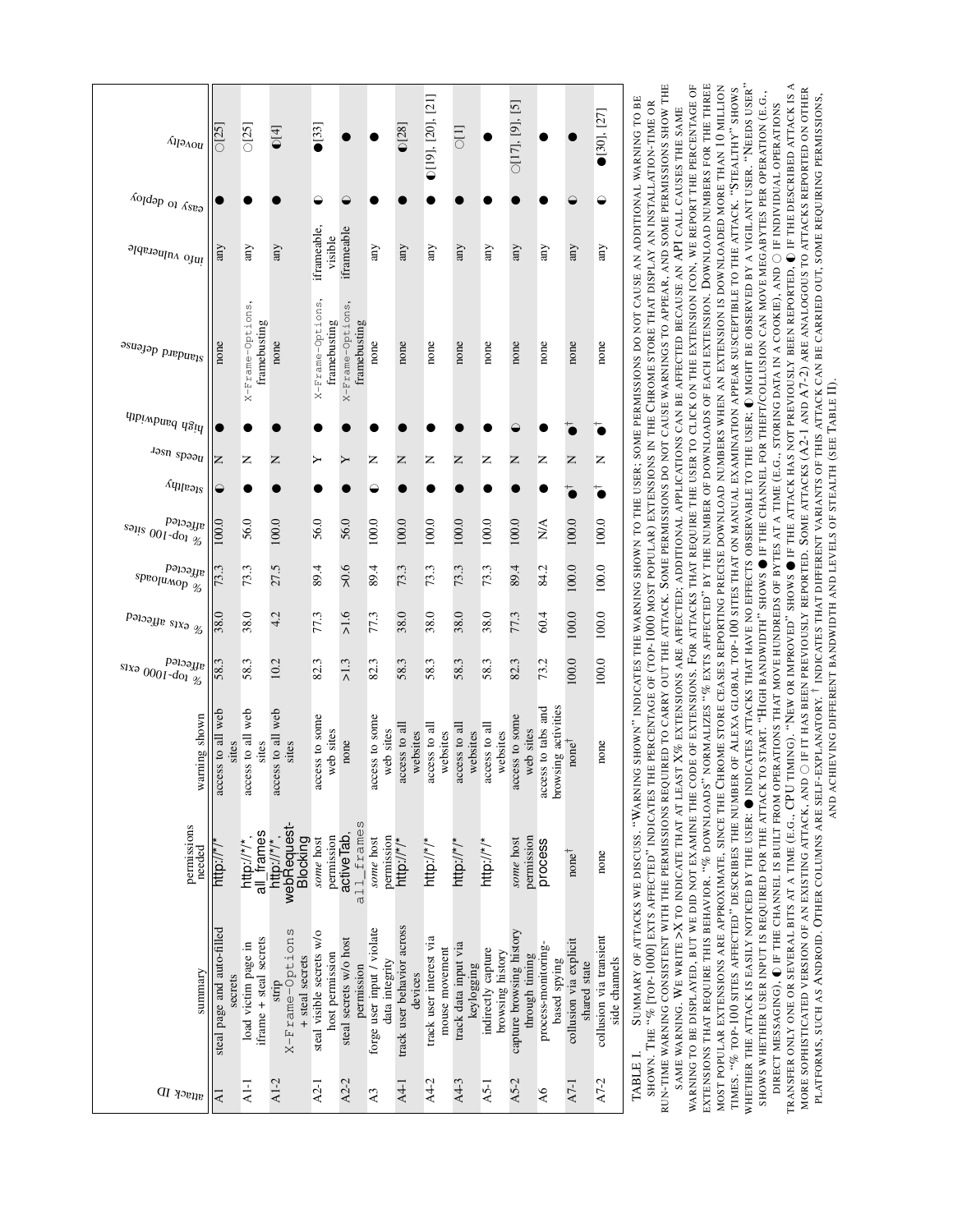| $\Lambda\eta$ ə<br>aou                                  | O[25]                                 | O[25]                                         | $\overline{\bullet}$                        | [33]                                         |                                      |                                              | O[28]                                 | $[20]$ , $[20]$ , $[21]$                  | EIO                                |                                        | 0[17], [9], [5]                            |                                           |                                        | [30], [27]                               |
|---------------------------------------------------------|---------------------------------------|-----------------------------------------------|---------------------------------------------|----------------------------------------------|--------------------------------------|----------------------------------------------|---------------------------------------|-------------------------------------------|------------------------------------|----------------------------------------|--------------------------------------------|-------------------------------------------|----------------------------------------|------------------------------------------|
| $\epsilon_{\rm 98M}$ to deploy                          |                                       |                                               |                                             |                                              |                                      |                                              |                                       |                                           |                                    |                                        |                                            |                                           |                                        |                                          |
| info vulnerable                                         | any                                   | any                                           | any                                         | iframeable,<br>visible                       | iframeable                           | any                                          | any                                   | any                                       | any                                | any                                    | any                                        | any                                       | any                                    | any                                      |
| standard defense                                        | none                                  | X-Frame-Options,<br>framebusting              | none                                        | X-Frame-Options,<br>framebusting             | X-Frame-Options,<br>framebusting     | none                                         | none                                  | none                                      | none                               | none                                   | none                                       | none                                      | none                                   | none                                     |
| high bandwidth                                          |                                       |                                               |                                             |                                              |                                      |                                              |                                       |                                           |                                    |                                        |                                            |                                           |                                        |                                          |
| Jəsn spəəu                                              | z                                     | z                                             | z                                           |                                              |                                      | z                                            | z                                     | z                                         | z                                  | z                                      | z                                          | z                                         | z                                      | z                                        |
| $\Lambda q \eta p_{\rm 91S}$                            | ◒                                     |                                               |                                             |                                              |                                      | ◒                                            |                                       |                                           |                                    |                                        |                                            |                                           |                                        |                                          |
| $\mathfrak{so}$<br>sans 001-doi $\frac{1}{\%}$          | 100.0                                 | 56.0                                          | 100.0                                       | 56.0                                         | 56.0                                 | 100.0                                        | 100.0                                 | 100.0                                     | 100.0                              | 100.0                                  | 100.0                                      | $\sum_{i=1}^{n}$                          | 100.0                                  | 100.0                                    |
| $_{\text{p}}$<br>$\sup$ eolnwob $\mathcal{R}$           | 73.3                                  | 73.3                                          | 27.5                                        | 89.4                                         | 0.6                                  | 89.4                                         | 73.3                                  | 73.3                                      | 73.3                               | 73.3                                   | 89.4                                       | 84.2                                      | 100.0                                  | 100.0                                    |
| $\frac{1}{8}$ exts affected                             | 38.0                                  | 38.0                                          | 4.2                                         | 77.3                                         | $>1.6$                               | 77.3                                         | 38.0                                  | 38.0                                      | 38.0                               | 38.0                                   | 77.3                                       | 60.4                                      | 100.0                                  | 100.0                                    |
| $\mathop{\mathrm{supp}}$<br>$\frac{1}{2}$ top-1000 exts | 58.3                                  | 58.3                                          | 10.2                                        | 82.3                                         | $>1.3$                               | 82.3                                         | 58.3                                  | 58.3                                      | 58.3                               | 58.3                                   | 82.3                                       | 73.2                                      | 100.0                                  | 100.0                                    |
| warning shown                                           | access to all web<br>sites            | access to all web<br>sites                    | access to all web<br>sites                  | access to some<br>web sites                  | none                                 | access to some<br>web sites                  | access to all<br>websites             | access to all<br>websites                 | access to all<br>websites          | access to all<br>websites              | access to some<br>web sites                | browsing activities<br>access to tabs and | $\mathrm{none}^\dagger$                | none                                     |
| permissions<br>needed                                   | http://*/'                            | all_frames<br>http://*/*                      | webRequest<br>Blocking<br>http://*/*        | permission<br>some host                      | all_frames<br>active Tab             | permission<br>some host                      | http://*/*                            | http://*/*                                | http://*/*                         | http://*/*                             | permission<br>some host                    | process                                   | none <sup>1</sup>                      | none                                     |
| summary                                                 | steal page and auto-filled<br>secrets | iframe + steal secrets<br>load victim page in | X-Frame-Options<br>+ steal secrets<br>strip | steal visible secrets w/o<br>host permission | steal secrets w/o host<br>permission | forge user input / violate<br>data integrity | track user behavior across<br>devices | track user interest via<br>mouse movement | track data input via<br>keylogging | indirectly capture<br>browsing history | capture browsing history<br>through timing | process-monitoring-<br>based spying       | collusion via explicit<br>shared state | collusion via transient<br>side channels |
| зцяск ID                                                | ਟ                                     | $\overline{A1-1}$                             | $A1-2$                                      | $A2-1$                                       | $A2-2$                               | A3                                           | $A4-1$                                | A4-2                                      | A4-3                               | $A5-1$                                 | A5-2                                       | A6                                        | $A7-1$                                 | $A7-2$                                   |

RUN-TIME WARNING CONSISTENT WITH THE PERMISSIONS REQUIRED TO CARRY OUT THE ATTACK. SOME PERMISSIONS DO NOT CAUSE WARNINGS TO APPEAR, AND SOME PERMISSIONS SHOW THE RUN-TIME WARNING CONSISTENT WITH THE PERMISSIONS REQUIRED TO CARRY OUT THE ATTACK. SOME PERMISSIONS REQUIRED TO CARRY OUT THE ATTACK. SOME PERMISSIONS REQUIRED TO CARRY OUT THE ATTACK. SUMMARY OF ATTACKS WE DISCUSS. "WARNING SHOWN" INDICATES THE WARNING SHOWN TO THE USER; SOME PERMISSIONS DO NOT CAUSE AN ADDITIONAL WARNING TO BE TABLE I. SUMMARY OF ATTACKS WE DISCUSSIONS SHOWN THE WARNING SHOWN TO THE WARNING SHOWN TO THE USER; SOME PERMISS. "WARNING SHOWN PERMISSIONS DO NOT CALLY OF ATTACHED TO BE SHOWN. THE "% [TOP-1000] EXTS AFFECTED" INDICATES THE PERCENTAGE OF (TOP-1000 MOST POPULAR) EXTENSIONS IN THE CHROME STORE THAT DISPLAY AN INSTALLATION-TIME OR CHROME STORE THAT DISPLAY AN INSTALLATION-TIME OR SHOWN. THE "% [TOP-1000] EXTS AFFECTED" INDICATES THE PERCENTAGE OF (TOP-1000 MOST POPULAR) EXTENSIONS IN THE TABLE I.

WARNING TO BE DISPLAYED, BUT WE DID NOT EXAMINE THE CODE OF EXTENSIONS. FOR ATTACKS THAT REQUIRE THE USER TO CLICK ON THE EXTENSION ICON, WE REPORT THE PERCENTAGE OF extensions that require this behavior. "% downloads" normalizes "% exts affected" by the number of downloads of each extension. Download numbers for the three WHETHER THE ATTACK IS EASILY NOTICED BY THE USER: ● INDICATES ATTACKS THAT HAVE NO EFFECTS OBSERVABLE TO THE USER; ● MIGHT BE OBSERVED BY A VIGILANT USER. "NEEDS USER" EXTENSIONS THAT REQUIRE THIS BEHAVIOR. "% DOWNLOADS" NORMALIZES "% EXTS AFFECTED" BY THE NUMBER OF DOWNLOADS OF EACH EXTENSION. DOWNLOAD NUMBERS FOR THE THREE<br>Voet dout a distructive a die andoneers eerste turken en die op MOST POPULAR EXTENSIONS ARE APPROXIMATE, SINCE THE CHROME STORE CEASES REPORTING PRECISE DOWNLOAD NUMBERS WHEN AN EXTENSION IS DOWNLOADED MORE THAN 10 MILLION WHETHER THE ATTACK IS EASILY NOTICED BY THE USER: ● INDICATES ATTACKS THAT HAVE NO EFFECTS OBSERVABLE TO THE USER; ● MIGHT BE OBSERVED BY A VIGILANT USER. "NEEDS USER"<br>cuone suuremen uced indici o deoutided com com organi WARNING TO BE DISPLAYED, BUT WE DID NOT EXAMINE THE CODE OF EXTENSIONS. FOR ATTACKS THAT REQUIRE THE USER TO CLICK ON THE USER THE PERCENTAGE OF PERCENTAGE OF CHROME STORE CEASES REPORTING PRECISE DOWNLOAD NUMBERS WHEN AN EXTENSION DOWNLOADED MORE THAN 10 MORE THAN 10 MILLION TIMES, "GP-100 SITES AFFECTED" DESCRIBES THE NUMBER OF ALEXA GLOBAL TOP-100 SITES THAT ON MANUAL EXAMINATION APPEAR SUSCEPTIBLE TO THE ATTACK. "STEALTHY" SHOWS ALEXA GLOBAL TOP-100 SITES THAT ON MANUAL EXAMINATION APPEAR SUSCEPTIBLE TO THE ATTACK. "STEALTHY" SHOWS SHOWS WHETHER USER INPUT IS REQUIRED FOR THE ATTACK TO START. "HIGH BANDWIDTH" SHOWS  $\bullet$  if the channel for thefricollusion can move megabytes per operation (e.g., IF THE CHANNEL FOR THEFT/COLLUSION CAN MOVE MEGABYTES PER OPERATION (E.G., SAME WARNING. WE WRITE >X TO INDICATE THAT AT LEAST X% EXTENSIONS ARE AFFECTED; ADDITIONAL APPLICATIONS CAN BE AFFECTED BECAUSE AN API CALL CAUSES THE SAME SAME WARNING. WE WRITE >X TO INDICATE THAT AT LEAST X% EXTENSIONS ARE AFFECTED; ADDITIONAL APPLICATIONS CAN BE AFFECTED BECAUSE AN API CALL CAUSES THE SAME<br>winc to be diedi aved, but wie din note evaluate the cone conevera SHOWS WHETHER USER INPUT IS REQUIRED FOR THE ATTACK TO START. "HIGH BANDWIDTH" SHOWS TIMES. "% TOP-100 SITES AFFECTED" DESCRIBES THE NUMBER OF MOST POPULAR EXTENSIONS ARE APPROXIMATE, SINCE THE

ransfer only one or several bits at a time (e.g., CPU timing). "New or improved" shows  $\bullet$  if the attack has not previously been reported,  $\bullet$  if the described attack is a  $\bullet$  IF THE ATTACK HAS NOT PREVIOUSLY BEEN REPORTED,  $\bullet$  IF THE DESCRIBED ATTACK IS A is a series of the series at  $\Lambda$  is a series of a in  $\Lambda$  is a series of the series of  $\Lambda$  is a series of  $\Lambda$  if  $\Lambda$  is a series o MORE SOPHISTICATED VERSION OF AN EXISTING ATTACK, AND O IF IT HAS BEEN PREVIOUSLY REPORTED. SOME ATTACKS (A2-1 AND A7-2) ARE ANALOGOUS TO ATTACKS REPORTED ON OTHER IF IT HAS BEEN PREVIOUSLY REPORTED. SOME ATTACKS (A2-1 AND A7-2) ARE ANALOGOUS TO ATTACKS REPORTED ON OTHER INDICATES THAT DIFFERENT VARIANTS OF THIS ATTACK CAN BE CARRIED OUT, SOME REQUIRING PERMISSIONS, DIRECT MESSAGING),  $\mathbb O$  if the channel is built from operations that move hunders of bytes at a time (e.g., storing data in a cookie), and  $\bigcirc$  if indual operations O IF INDIVIDUAL OPERATIONS<br>A le tue described attacts DIRECT MESSAGING), C IF THE CHANNEL IS BUILT FROM OPERATIONS THAT MOVE HUNDREDS OF BYTES AT A TIME (E.G., STORING DATA IN A COOKIE), AND<br>Nettin Ani V Anii on ceved at a time (e a ta a time (e a ta top i time on ta and and TRANSFER ONLY ONE OR SEVERAL BITS AT A TIME (E.G., CPU TIMING). "NEW OR IMPROVED" SHOWS †ANDROID. OTHER COLUMNS ARE SELF-EXPLANATORY. MORE SOPHISTICATED VERSION OF AN EXISTING ATTACK, AND PLATFORMS, SUCH AS

AND ACHIEVING DIFFERENT BANDWIDTH AND LEVELS OF STEALTH (SEE TABLE II).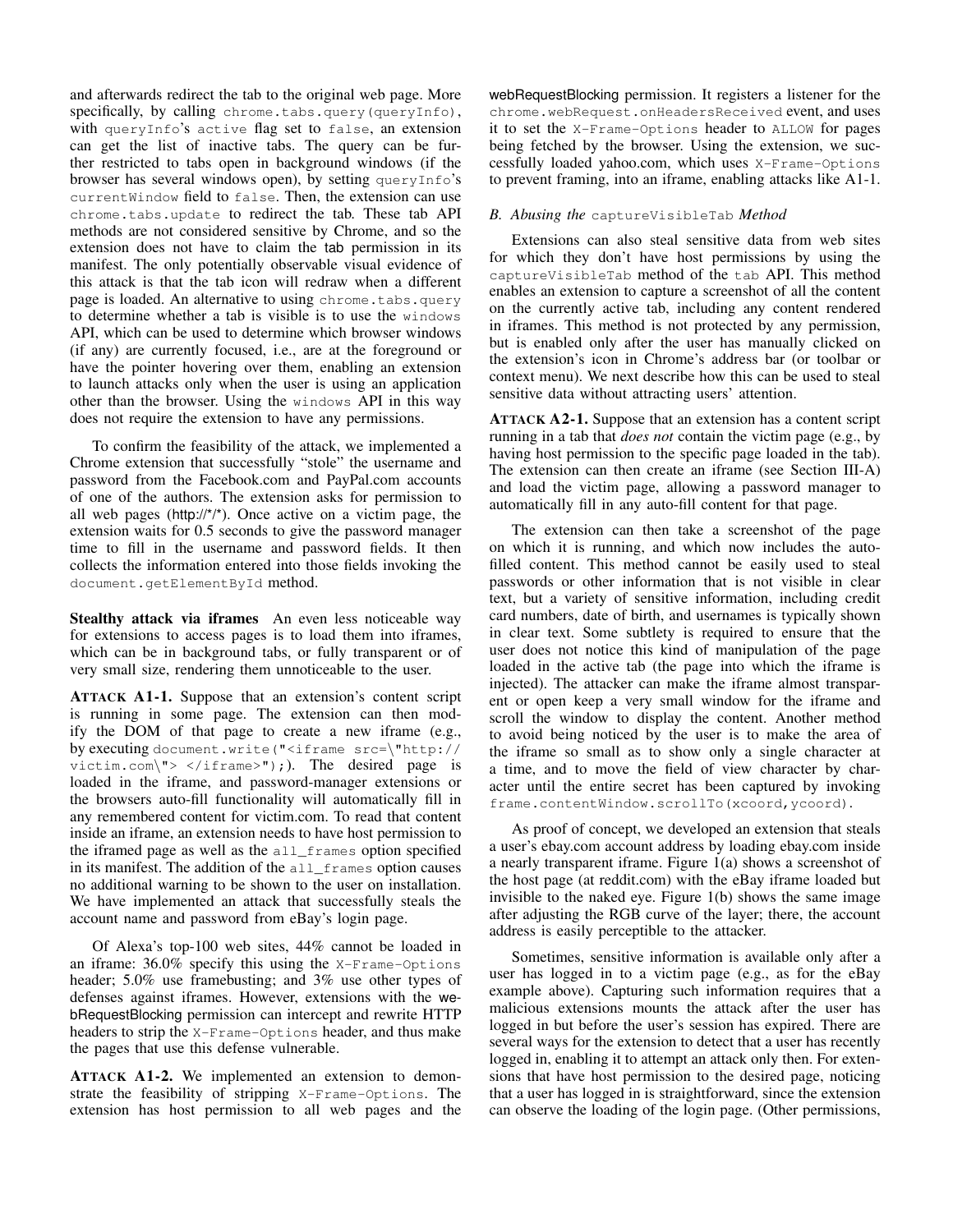and afterwards redirect the tab to the original web page. More specifically, by calling chrome.tabs.query(queryInfo), with queryInfo's active flag set to false, an extension can get the list of inactive tabs. The query can be further restricted to tabs open in background windows (if the browser has several windows open), by setting queryInfo's currentWindow field to false. Then, the extension can use chrome.tabs.update to redirect the tab. These tab API methods are not considered sensitive by Chrome, and so the extension does not have to claim the tab permission in its manifest. The only potentially observable visual evidence of this attack is that the tab icon will redraw when a different page is loaded. An alternative to using chrome.tabs.query to determine whether a tab is visible is to use the windows API, which can be used to determine which browser windows (if any) are currently focused, i.e., are at the foreground or have the pointer hovering over them, enabling an extension to launch attacks only when the user is using an application other than the browser. Using the windows API in this way does not require the extension to have any permissions.

To confirm the feasibility of the attack, we implemented a Chrome extension that successfully "stole" the username and password from the Facebook.com and PayPal.com accounts of one of the authors. The extension asks for permission to all web pages (http://\*/\*). Once active on a victim page, the extension waits for 0.5 seconds to give the password manager time to fill in the username and password fields. It then collects the information entered into those fields invoking the document.getElementById method.

Stealthy attack via iframes An even less noticeable way for extensions to access pages is to load them into iframes, which can be in background tabs, or fully transparent or of very small size, rendering them unnoticeable to the user.

ATTACK A1-1. Suppose that an extension's content script is running in some page. The extension can then modify the DOM of that page to create a new iframe (e.g., by executing document.write("<iframe src=\"http:// victim.com\"> </iframe>");). The desired page is loaded in the iframe, and password-manager extensions or the browsers auto-fill functionality will automatically fill in any remembered content for victim.com. To read that content inside an iframe, an extension needs to have host permission to the iframed page as well as the all\_frames option specified in its manifest. The addition of the all\_frames option causes no additional warning to be shown to the user on installation. We have implemented an attack that successfully steals the account name and password from eBay's login page.

Of Alexa's top-100 web sites, 44% cannot be loaded in an iframe: 36.0% specify this using the X-Frame-Options header; 5.0% use framebusting; and 3% use other types of defenses against iframes. However, extensions with the webRequestBlocking permission can intercept and rewrite HTTP headers to strip the X-Frame-Options header, and thus make the pages that use this defense vulnerable.

ATTACK A1-2. We implemented an extension to demonstrate the feasibility of stripping X-Frame-Options. The extension has host permission to all web pages and the webRequestBlocking permission. It registers a listener for the chrome.webRequest.onHeadersReceived event, and uses it to set the X-Frame-Options header to ALLOW for pages being fetched by the browser. Using the extension, we successfully loaded yahoo.com, which uses X-Frame-Options to prevent framing, into an iframe, enabling attacks like A1-1.

# *B. Abusing the* captureVisibleTab *Method*

Extensions can also steal sensitive data from web sites for which they don't have host permissions by using the captureVisibleTab method of the tab API. This method enables an extension to capture a screenshot of all the content on the currently active tab, including any content rendered in iframes. This method is not protected by any permission, but is enabled only after the user has manually clicked on the extension's icon in Chrome's address bar (or toolbar or context menu). We next describe how this can be used to steal sensitive data without attracting users' attention.

ATTACK A2-1. Suppose that an extension has a content script running in a tab that *does not* contain the victim page (e.g., by having host permission to the specific page loaded in the tab). The extension can then create an iframe (see Section III-A) and load the victim page, allowing a password manager to automatically fill in any auto-fill content for that page.

The extension can then take a screenshot of the page on which it is running, and which now includes the autofilled content. This method cannot be easily used to steal passwords or other information that is not visible in clear text, but a variety of sensitive information, including credit card numbers, date of birth, and usernames is typically shown in clear text. Some subtlety is required to ensure that the user does not notice this kind of manipulation of the page loaded in the active tab (the page into which the iframe is injected). The attacker can make the iframe almost transparent or open keep a very small window for the iframe and scroll the window to display the content. Another method to avoid being noticed by the user is to make the area of the iframe so small as to show only a single character at a time, and to move the field of view character by character until the entire secret has been captured by invoking frame.contentWindow.scrollTo(xcoord,ycoord).

As proof of concept, we developed an extension that steals a user's ebay.com account address by loading ebay.com inside a nearly transparent iframe. Figure 1(a) shows a screenshot of the host page (at reddit.com) with the eBay iframe loaded but invisible to the naked eye. Figure 1(b) shows the same image after adjusting the RGB curve of the layer; there, the account address is easily perceptible to the attacker.

Sometimes, sensitive information is available only after a user has logged in to a victim page (e.g., as for the eBay example above). Capturing such information requires that a malicious extensions mounts the attack after the user has logged in but before the user's session has expired. There are several ways for the extension to detect that a user has recently logged in, enabling it to attempt an attack only then. For extensions that have host permission to the desired page, noticing that a user has logged in is straightforward, since the extension can observe the loading of the login page. (Other permissions,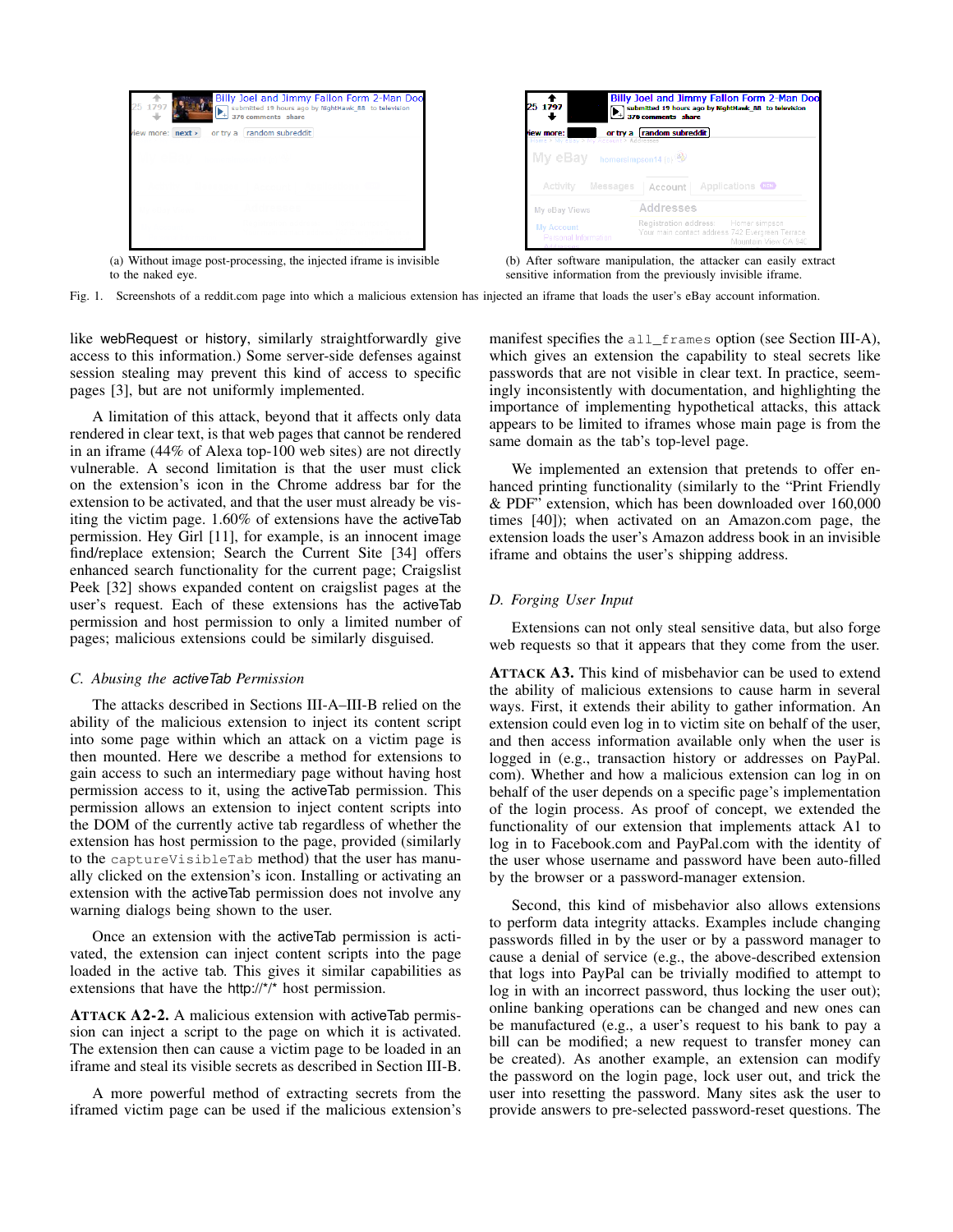

(a) Without image post-processing, the injected iframe is invisible to the naked eye.



(b) After software manipulation, the attacker can easily extract sensitive information from the previously invisible iframe.

Fig. 1. Screenshots of a reddit.com page into which a malicious extension has injected an iframe that loads the user's eBay account information.

like webRequest or history, similarly straightforwardly give access to this information.) Some server-side defenses against session stealing may prevent this kind of access to specific pages [3], but are not uniformly implemented.

A limitation of this attack, beyond that it affects only data rendered in clear text, is that web pages that cannot be rendered in an iframe (44% of Alexa top-100 web sites) are not directly vulnerable. A second limitation is that the user must click on the extension's icon in the Chrome address bar for the extension to be activated, and that the user must already be visiting the victim page. 1.60% of extensions have the activeTab permission. Hey Girl [11], for example, is an innocent image find/replace extension; Search the Current Site [34] offers enhanced search functionality for the current page; Craigslist Peek [32] shows expanded content on craigslist pages at the user's request. Each of these extensions has the activeTab permission and host permission to only a limited number of pages; malicious extensions could be similarly disguised.

### *C. Abusing the activeTab Permission*

The attacks described in Sections III-A–III-B relied on the ability of the malicious extension to inject its content script into some page within which an attack on a victim page is then mounted. Here we describe a method for extensions to gain access to such an intermediary page without having host permission access to it, using the activeTab permission. This permission allows an extension to inject content scripts into the DOM of the currently active tab regardless of whether the extension has host permission to the page, provided (similarly to the captureVisibleTab method) that the user has manually clicked on the extension's icon. Installing or activating an extension with the activeTab permission does not involve any warning dialogs being shown to the user.

Once an extension with the activeTab permission is activated, the extension can inject content scripts into the page loaded in the active tab. This gives it similar capabilities as extensions that have the http://\*/\* host permission.

ATTACK A2-2. A malicious extension with activeTab permission can inject a script to the page on which it is activated. The extension then can cause a victim page to be loaded in an iframe and steal its visible secrets as described in Section III-B.

A more powerful method of extracting secrets from the iframed victim page can be used if the malicious extension's manifest specifies the all\_frames option (see Section III-A), which gives an extension the capability to steal secrets like passwords that are not visible in clear text. In practice, seemingly inconsistently with documentation, and highlighting the importance of implementing hypothetical attacks, this attack appears to be limited to iframes whose main page is from the same domain as the tab's top-level page.

We implemented an extension that pretends to offer enhanced printing functionality (similarly to the "Print Friendly & PDF" extension, which has been downloaded over 160,000 times [40]); when activated on an Amazon.com page, the extension loads the user's Amazon address book in an invisible iframe and obtains the user's shipping address.

# *D. Forging User Input*

Extensions can not only steal sensitive data, but also forge web requests so that it appears that they come from the user.

ATTACK A3. This kind of misbehavior can be used to extend the ability of malicious extensions to cause harm in several ways. First, it extends their ability to gather information. An extension could even log in to victim site on behalf of the user, and then access information available only when the user is logged in (e.g., transaction history or addresses on PayPal. com). Whether and how a malicious extension can log in on behalf of the user depends on a specific page's implementation of the login process. As proof of concept, we extended the functionality of our extension that implements attack A1 to log in to Facebook.com and PayPal.com with the identity of the user whose username and password have been auto-filled by the browser or a password-manager extension.

Second, this kind of misbehavior also allows extensions to perform data integrity attacks. Examples include changing passwords filled in by the user or by a password manager to cause a denial of service (e.g., the above-described extension that logs into PayPal can be trivially modified to attempt to log in with an incorrect password, thus locking the user out); online banking operations can be changed and new ones can be manufactured (e.g., a user's request to his bank to pay a bill can be modified; a new request to transfer money can be created). As another example, an extension can modify the password on the login page, lock user out, and trick the user into resetting the password. Many sites ask the user to provide answers to pre-selected password-reset questions. The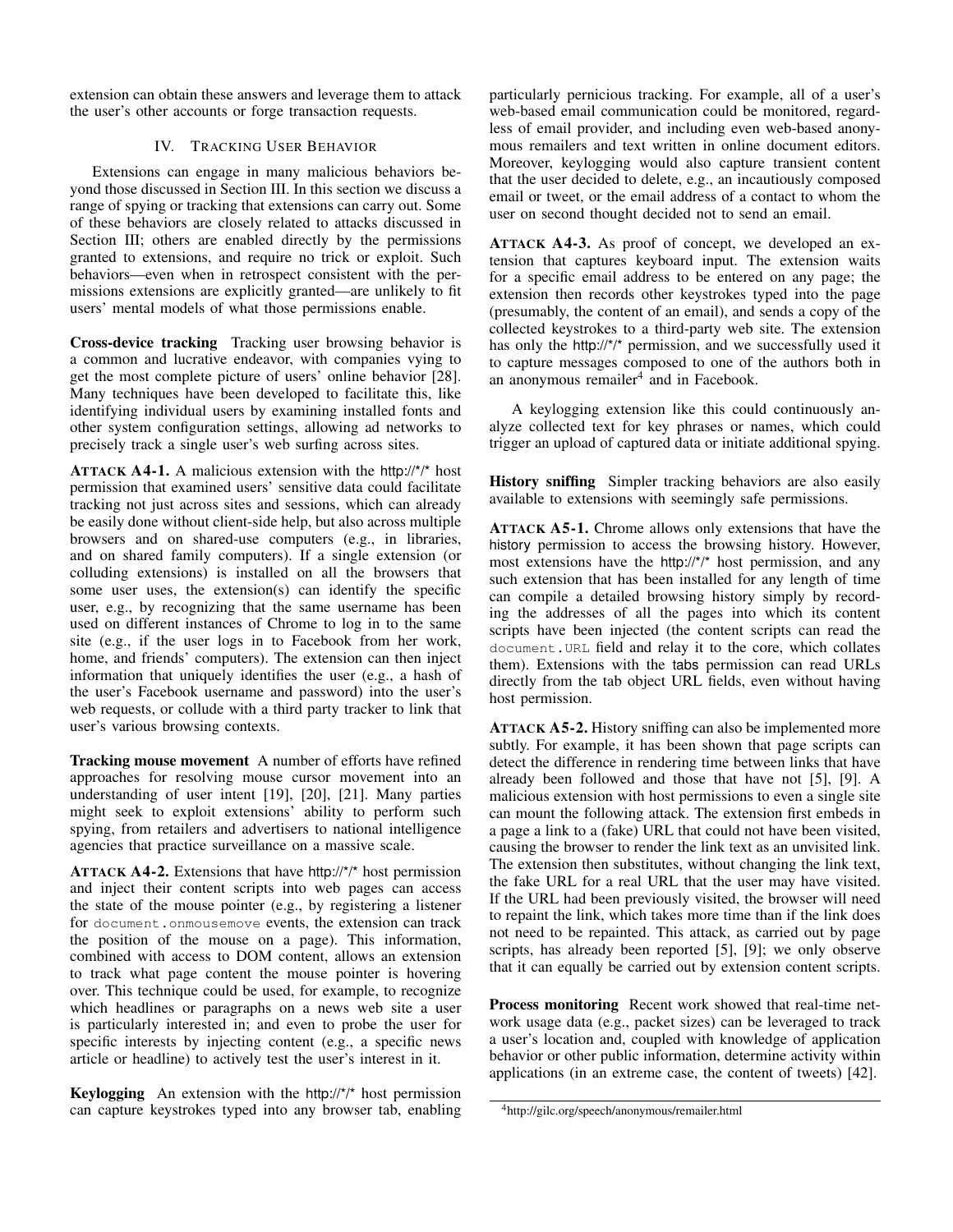extension can obtain these answers and leverage them to attack the user's other accounts or forge transaction requests.

# IV. TRACKING USER BEHAVIOR

Extensions can engage in many malicious behaviors beyond those discussed in Section III. In this section we discuss a range of spying or tracking that extensions can carry out. Some of these behaviors are closely related to attacks discussed in Section III; others are enabled directly by the permissions granted to extensions, and require no trick or exploit. Such behaviors—even when in retrospect consistent with the permissions extensions are explicitly granted—are unlikely to fit users' mental models of what those permissions enable.

Cross-device tracking Tracking user browsing behavior is a common and lucrative endeavor, with companies vying to get the most complete picture of users' online behavior [28]. Many techniques have been developed to facilitate this, like identifying individual users by examining installed fonts and other system configuration settings, allowing ad networks to precisely track a single user's web surfing across sites.

**ATTACK A4-1.** A malicious extension with the http://\*/\* host permission that examined users' sensitive data could facilitate tracking not just across sites and sessions, which can already be easily done without client-side help, but also across multiple browsers and on shared-use computers (e.g., in libraries, and on shared family computers). If a single extension (or colluding extensions) is installed on all the browsers that some user uses, the extension(s) can identify the specific user, e.g., by recognizing that the same username has been used on different instances of Chrome to log in to the same site (e.g., if the user logs in to Facebook from her work, home, and friends' computers). The extension can then inject information that uniquely identifies the user (e.g., a hash of the user's Facebook username and password) into the user's web requests, or collude with a third party tracker to link that user's various browsing contexts.

Tracking mouse movement A number of efforts have refined approaches for resolving mouse cursor movement into an understanding of user intent [19], [20], [21]. Many parties might seek to exploit extensions' ability to perform such spying, from retailers and advertisers to national intelligence agencies that practice surveillance on a massive scale.

ATTACK A4-2. Extensions that have http:// $\star$ / $\star$  host permission and inject their content scripts into web pages can access the state of the mouse pointer (e.g., by registering a listener for document.onmousemove events, the extension can track the position of the mouse on a page). This information, combined with access to DOM content, allows an extension to track what page content the mouse pointer is hovering over. This technique could be used, for example, to recognize which headlines or paragraphs on a news web site a user is particularly interested in; and even to probe the user for specific interests by injecting content (e.g., a specific news article or headline) to actively test the user's interest in it.

**Keylogging** An extension with the http:// $\star/\star$  host permission can capture keystrokes typed into any browser tab, enabling particularly pernicious tracking. For example, all of a user's web-based email communication could be monitored, regardless of email provider, and including even web-based anonymous remailers and text written in online document editors. Moreover, keylogging would also capture transient content that the user decided to delete, e.g., an incautiously composed email or tweet, or the email address of a contact to whom the user on second thought decided not to send an email.

ATTACK A4-3. As proof of concept, we developed an extension that captures keyboard input. The extension waits for a specific email address to be entered on any page; the extension then records other keystrokes typed into the page (presumably, the content of an email), and sends a copy of the collected keystrokes to a third-party web site. The extension has only the http://\*/\* permission, and we successfully used it to capture messages composed to one of the authors both in an anonymous remailer $4$  and in Facebook.

A keylogging extension like this could continuously analyze collected text for key phrases or names, which could trigger an upload of captured data or initiate additional spying.

History sniffing Simpler tracking behaviors are also easily available to extensions with seemingly safe permissions.

ATTACK A5-1. Chrome allows only extensions that have the history permission to access the browsing history. However, most extensions have the http://\*/\* host permission, and any such extension that has been installed for any length of time can compile a detailed browsing history simply by recording the addresses of all the pages into which its content scripts have been injected (the content scripts can read the document.URL field and relay it to the core, which collates them). Extensions with the tabs permission can read URLs directly from the tab object URL fields, even without having host permission.

ATTACK A5-2. History sniffing can also be implemented more subtly. For example, it has been shown that page scripts can detect the difference in rendering time between links that have already been followed and those that have not [5], [9]. A malicious extension with host permissions to even a single site can mount the following attack. The extension first embeds in a page a link to a (fake) URL that could not have been visited, causing the browser to render the link text as an unvisited link. The extension then substitutes, without changing the link text, the fake URL for a real URL that the user may have visited. If the URL had been previously visited, the browser will need to repaint the link, which takes more time than if the link does not need to be repainted. This attack, as carried out by page scripts, has already been reported [5], [9]; we only observe that it can equally be carried out by extension content scripts.

Process monitoring Recent work showed that real-time network usage data (e.g., packet sizes) can be leveraged to track a user's location and, coupled with knowledge of application behavior or other public information, determine activity within applications (in an extreme case, the content of tweets) [42].

<sup>4</sup>http://gilc.org/speech/anonymous/remailer.html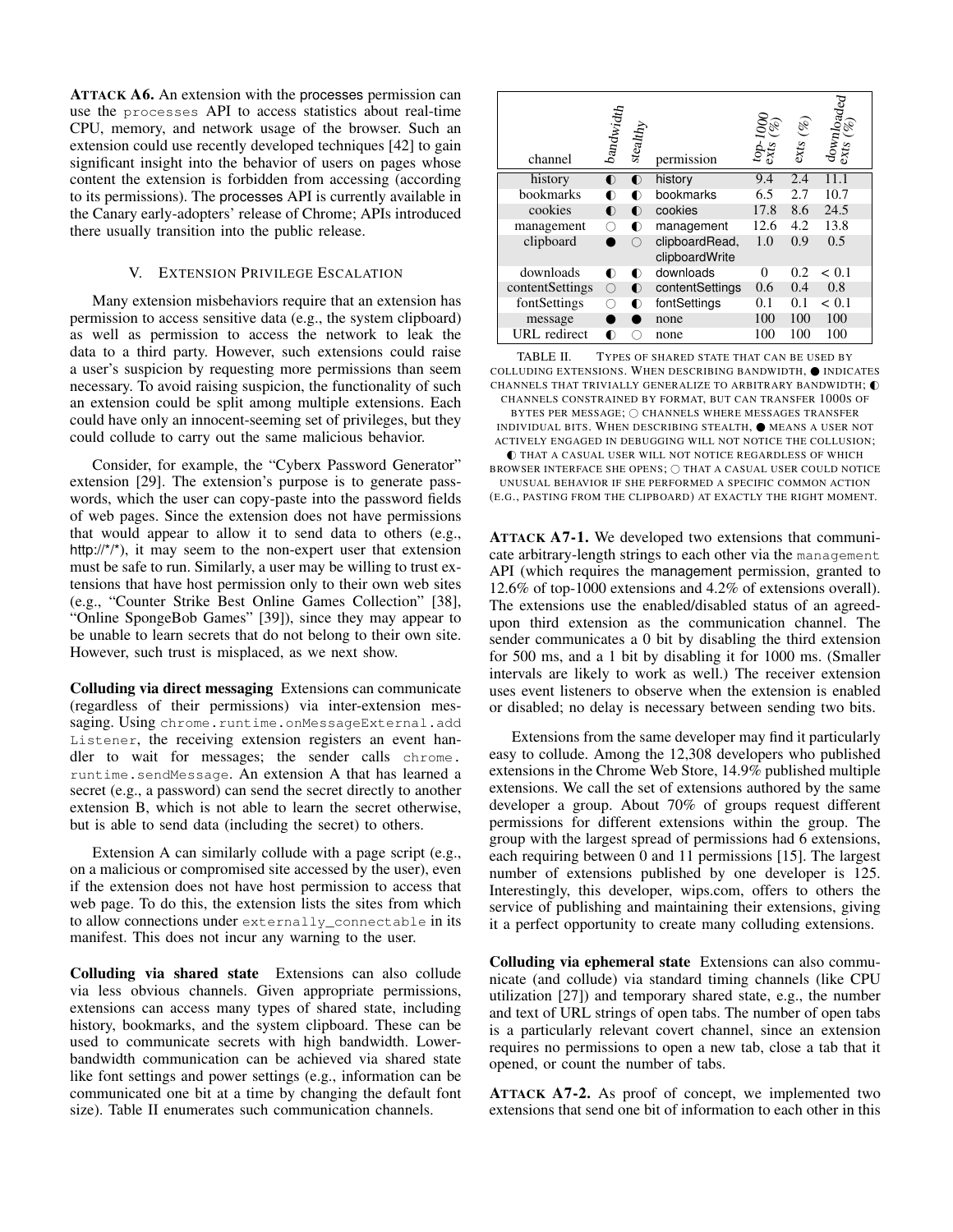ATTACK A6. An extension with the processes permission can use the processes API to access statistics about real-time CPU, memory, and network usage of the browser. Such an extension could use recently developed techniques [42] to gain significant insight into the behavior of users on pages whose content the extension is forbidden from accessing (according to its permissions). The processes API is currently available in the Canary early-adopters' release of Chrome; APIs introduced there usually transition into the public release.

# V. EXTENSION PRIVILEGE ESCALATION

Many extension misbehaviors require that an extension has permission to access sensitive data (e.g., the system clipboard) as well as permission to access the network to leak the data to a third party. However, such extensions could raise a user's suspicion by requesting more permissions than seem necessary. To avoid raising suspicion, the functionality of such an extension could be split among multiple extensions. Each could have only an innocent-seeming set of privileges, but they could collude to carry out the same malicious behavior.

Consider, for example, the "Cyberx Password Generator" extension [29]. The extension's purpose is to generate passwords, which the user can copy-paste into the password fields of web pages. Since the extension does not have permissions that would appear to allow it to send data to others (e.g., http:// $*/$ ), it may seem to the non-expert user that extension must be safe to run. Similarly, a user may be willing to trust extensions that have host permission only to their own web sites (e.g., "Counter Strike Best Online Games Collection" [38], "Online SpongeBob Games" [39]), since they may appear to be unable to learn secrets that do not belong to their own site. However, such trust is misplaced, as we next show.

Colluding via direct messaging Extensions can communicate (regardless of their permissions) via inter-extension messaging. Using chrome.runtime.onMessageExternal.add Listener, the receiving extension registers an event handler to wait for messages; the sender calls chrome. runtime.sendMessage. An extension A that has learned a secret (e.g., a password) can send the secret directly to another extension B, which is not able to learn the secret otherwise, but is able to send data (including the secret) to others.

Extension A can similarly collude with a page script (e.g., on a malicious or compromised site accessed by the user), even if the extension does not have host permission to access that web page. To do this, the extension lists the sites from which to allow connections under externally\_connectable in its manifest. This does not incur any warning to the user.

Colluding via shared state Extensions can also collude via less obvious channels. Given appropriate permissions, extensions can access many types of shared state, including history, bookmarks, and the system clipboard. These can be used to communicate secrets with high bandwidth. Lowerbandwidth communication can be achieved via shared state like font settings and power settings (e.g., information can be communicated one bit at a time by changing the default font size). Table II enumerates such communication channels.

| channel         | bandwidth | stealthy  | permission                       | <b>SE</b><br>top-1<br>exts | $\circledast$<br>exts | $\begin{array}{l} \text{downloaded} \\ \text{exts}\ (\%) \end{array}$ |
|-----------------|-----------|-----------|----------------------------------|----------------------------|-----------------------|-----------------------------------------------------------------------|
| history         | $\bullet$ | $\bullet$ | history                          | 9.4                        | 2.4                   | 11.1                                                                  |
| bookmarks       | ∩         | ◐         | bookmarks                        | 6.5                        | 2.7                   | 10.7                                                                  |
| cookies         | $\bullet$ | $\bullet$ | cookies                          | 17.8                       | 8.6                   | 24.5                                                                  |
| management      | Ω         | ◐         | management                       | 12.6                       | 4.2                   | 13.8                                                                  |
| clipboard       |           | ∩         | clipboardRead,<br>clipboardWrite | 1.0                        | 0.9                   | 0.5                                                                   |
| downloads       | ∩         | ◐         | downloads                        | 0                          | 0.2                   | < 0.1                                                                 |
| contentSettings | ∩         | $\bullet$ | contentSettings                  | 0.6                        | 0.4                   | 0.8                                                                   |
| fontSettings    | ( )       | $\bullet$ | fontSettings                     | 0.1                        | 0.1                   | < 0.1                                                                 |
| message         |           |           | none                             | 100                        | 100                   | 100                                                                   |
| URL redirect    |           |           | none                             | 100                        | 100                   | 100                                                                   |

TABLE II. TYPES OF SHARED STATE THAT CAN BE USED BY COLLUDING EXTENSIONS. WHEN DESCRIBING BANDWIDTH, OINDICATES CHANNELS THAT TRIVIALLY GENERALIZE TO ARBITRARY BANDWIDTH;  $\bullet$ CHANNELS CONSTRAINED BY FORMAT, BUT CAN TRANSFER 1000S OF BYTES PER MESSAGE;  $\bigcirc$  CHANNELS WHERE MESSAGES TRANSFER INDIVIDUAL BITS. WHEN DESCRIBING STEALTH,  $\bullet$  means a user not ACTIVELY ENGAGED IN DEBUGGING WILL NOT NOTICE THE COLLUSION;

 $\mathbb O$  THAT A CASUAL USER WILL NOT NOTICE REGARDLESS OF WHICH BROWSER INTERFACE SHE OPENS;  $\bigcirc$  THAT A CASUAL USER COULD NOTICE UNUSUAL BEHAVIOR IF SHE PERFORMED A SPECIFIC COMMON ACTION (E.G., PASTING FROM THE CLIPBOARD) AT EXACTLY THE RIGHT MOMENT.

ATTACK A7-1. We developed two extensions that communicate arbitrary-length strings to each other via the management API (which requires the management permission, granted to 12.6% of top-1000 extensions and 4.2% of extensions overall). The extensions use the enabled/disabled status of an agreedupon third extension as the communication channel. The sender communicates a 0 bit by disabling the third extension for 500 ms, and a 1 bit by disabling it for 1000 ms. (Smaller intervals are likely to work as well.) The receiver extension uses event listeners to observe when the extension is enabled or disabled; no delay is necessary between sending two bits.

Extensions from the same developer may find it particularly easy to collude. Among the 12,308 developers who published extensions in the Chrome Web Store, 14.9% published multiple extensions. We call the set of extensions authored by the same developer a group. About 70% of groups request different permissions for different extensions within the group. The group with the largest spread of permissions had 6 extensions, each requiring between 0 and 11 permissions [15]. The largest number of extensions published by one developer is 125. Interestingly, this developer, wips.com, offers to others the service of publishing and maintaining their extensions, giving it a perfect opportunity to create many colluding extensions.

Colluding via ephemeral state Extensions can also communicate (and collude) via standard timing channels (like CPU utilization [27]) and temporary shared state, e.g., the number and text of URL strings of open tabs. The number of open tabs is a particularly relevant covert channel, since an extension requires no permissions to open a new tab, close a tab that it opened, or count the number of tabs.

ATTACK A7-2. As proof of concept, we implemented two extensions that send one bit of information to each other in this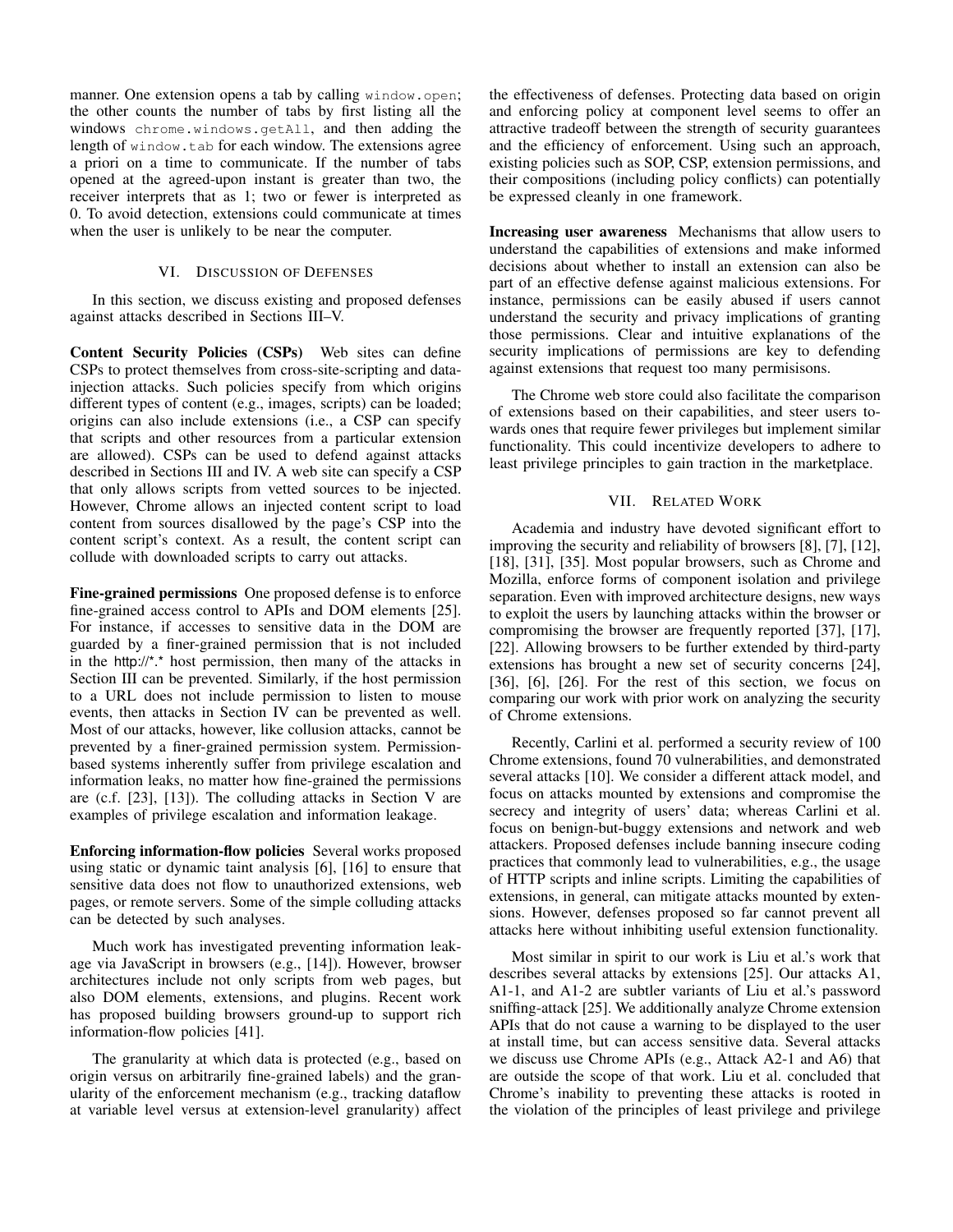manner. One extension opens a tab by calling window.open; the other counts the number of tabs by first listing all the windows chrome.windows.getAll, and then adding the length of window.tab for each window. The extensions agree a priori on a time to communicate. If the number of tabs opened at the agreed-upon instant is greater than two, the receiver interprets that as 1; two or fewer is interpreted as 0. To avoid detection, extensions could communicate at times when the user is unlikely to be near the computer.

# VI. DISCUSSION OF DEFENSES

In this section, we discuss existing and proposed defenses against attacks described in Sections III–V.

Content Security Policies (CSPs) Web sites can define CSPs to protect themselves from cross-site-scripting and datainjection attacks. Such policies specify from which origins different types of content (e.g., images, scripts) can be loaded; origins can also include extensions (i.e., a CSP can specify that scripts and other resources from a particular extension are allowed). CSPs can be used to defend against attacks described in Sections III and IV. A web site can specify a CSP that only allows scripts from vetted sources to be injected. However, Chrome allows an injected content script to load content from sources disallowed by the page's CSP into the content script's context. As a result, the content script can collude with downloaded scripts to carry out attacks.

Fine-grained permissions One proposed defense is to enforce fine-grained access control to APIs and DOM elements [25]. For instance, if accesses to sensitive data in the DOM are guarded by a finer-grained permission that is not included in the http://\*.\* host permission, then many of the attacks in Section III can be prevented. Similarly, if the host permission to a URL does not include permission to listen to mouse events, then attacks in Section IV can be prevented as well. Most of our attacks, however, like collusion attacks, cannot be prevented by a finer-grained permission system. Permissionbased systems inherently suffer from privilege escalation and information leaks, no matter how fine-grained the permissions are (c.f. [23], [13]). The colluding attacks in Section V are examples of privilege escalation and information leakage.

Enforcing information-flow policies Several works proposed using static or dynamic taint analysis [6], [16] to ensure that sensitive data does not flow to unauthorized extensions, web pages, or remote servers. Some of the simple colluding attacks can be detected by such analyses.

Much work has investigated preventing information leakage via JavaScript in browsers (e.g., [14]). However, browser architectures include not only scripts from web pages, but also DOM elements, extensions, and plugins. Recent work has proposed building browsers ground-up to support rich information-flow policies [41].

The granularity at which data is protected (e.g., based on origin versus on arbitrarily fine-grained labels) and the granularity of the enforcement mechanism (e.g., tracking dataflow at variable level versus at extension-level granularity) affect the effectiveness of defenses. Protecting data based on origin and enforcing policy at component level seems to offer an attractive tradeoff between the strength of security guarantees and the efficiency of enforcement. Using such an approach, existing policies such as SOP, CSP, extension permissions, and their compositions (including policy conflicts) can potentially be expressed cleanly in one framework.

Increasing user awareness Mechanisms that allow users to understand the capabilities of extensions and make informed decisions about whether to install an extension can also be part of an effective defense against malicious extensions. For instance, permissions can be easily abused if users cannot understand the security and privacy implications of granting those permissions. Clear and intuitive explanations of the security implications of permissions are key to defending against extensions that request too many permisisons.

The Chrome web store could also facilitate the comparison of extensions based on their capabilities, and steer users towards ones that require fewer privileges but implement similar functionality. This could incentivize developers to adhere to least privilege principles to gain traction in the marketplace.

#### VII. RELATED WORK

Academia and industry have devoted significant effort to improving the security and reliability of browsers [8], [7], [12], [18], [31], [35]. Most popular browsers, such as Chrome and Mozilla, enforce forms of component isolation and privilege separation. Even with improved architecture designs, new ways to exploit the users by launching attacks within the browser or compromising the browser are frequently reported [37], [17], [22]. Allowing browsers to be further extended by third-party extensions has brought a new set of security concerns [24], [36], [6], [26]. For the rest of this section, we focus on comparing our work with prior work on analyzing the security of Chrome extensions.

Recently, Carlini et al. performed a security review of 100 Chrome extensions, found 70 vulnerabilities, and demonstrated several attacks [10]. We consider a different attack model, and focus on attacks mounted by extensions and compromise the secrecy and integrity of users' data; whereas Carlini et al. focus on benign-but-buggy extensions and network and web attackers. Proposed defenses include banning insecure coding practices that commonly lead to vulnerabilities, e.g., the usage of HTTP scripts and inline scripts. Limiting the capabilities of extensions, in general, can mitigate attacks mounted by extensions. However, defenses proposed so far cannot prevent all attacks here without inhibiting useful extension functionality.

Most similar in spirit to our work is Liu et al.'s work that describes several attacks by extensions [25]. Our attacks A1, A1-1, and A1-2 are subtler variants of Liu et al.'s password sniffing-attack [25]. We additionally analyze Chrome extension APIs that do not cause a warning to be displayed to the user at install time, but can access sensitive data. Several attacks we discuss use Chrome APIs (e.g., Attack A2-1 and A6) that are outside the scope of that work. Liu et al. concluded that Chrome's inability to preventing these attacks is rooted in the violation of the principles of least privilege and privilege